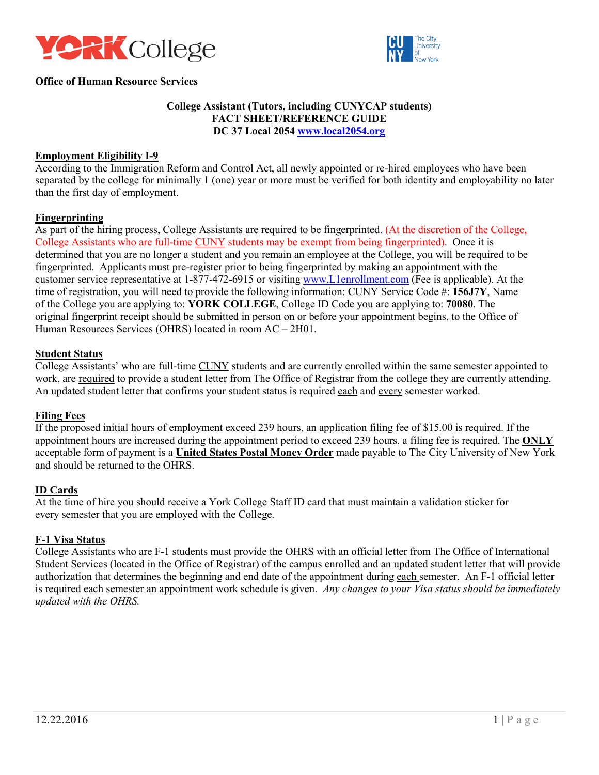



### **Office of Human Resource Services**

# **College Assistant (Tutors, including CUNYCAP students) FACT SHEET/REFERENCE GUIDE DC 37 Local 2054 www.local2054.org**

#### **Employment Eligibility I-9**

According to the Immigration Reform and Control Act, all newly appointed or re-hired employees who have been separated by the college for minimally 1 (one) year or more must be verified for both identity and employability no later than the first day of employment.

#### **Fingerprinting**

As part of the hiring process, College Assistants are required to be fingerprinted. (At the discretion of the College, determined that you are no longer a student and you remain an employee at the College, you will be required to be fingerprinted. Applicants must pre-register prior to being fingerprinted by making an appointment with the customer service representative at 1-877-472-6915 or visiting www.L1enrollment.com (Fee is applicable). At the time of registration, you will need to provide the following information: CUNY Service Code #: **156J7Y**, Name of the College you are applying to: **YORK COLLEGE**, College ID Code you are applying to: **70080**. The Human Resources Services (OHRS) located in room AC – 2H01. College Assistants who are full-time CUNY students may be exempt from being fingerprinted). Once it is original fingerprint receipt should be submitted in person on or before your appointment begins, to the Office of

#### **Student Status**

College Assistants' who are full-time CUNY students and are currently enrolled within the same semester appointed to work, are required to provide a student letter from The Office of Registrar from the college they are currently attending. An updated student letter that confirms your student status is required each and every semester worked.

#### **Filing Fees**

 appointment hours are increased during the appointment period to exceed 239 hours, a filing fee is required. The **ONLY**  acceptable form of payment is a **United States Postal Money Order** made payable to The City University of New York If the proposed initial hours of employment exceed 239 hours, an application filing fee of \$15.00 is required. If the and should be returned to the OHRS.

#### **ID Cards**

 At the time of hire you should receive a York College Staff ID card that must maintain a validation sticker for every semester that you are employed with the College.

#### **F-1 Visa Status**

 College Assistants who are F-1 students must provide the OHRS with an official letter from The Office of International Student Services (located in the Office of Registrar) of the campus enrolled and an updated student letter that will provide authorization that determines the beginning and end date of the appointment during each semester. An F-1 official letter  is required each semester an appointment work schedule is given. *Any changes to your Visa status should be immediately updated with the OHRS.*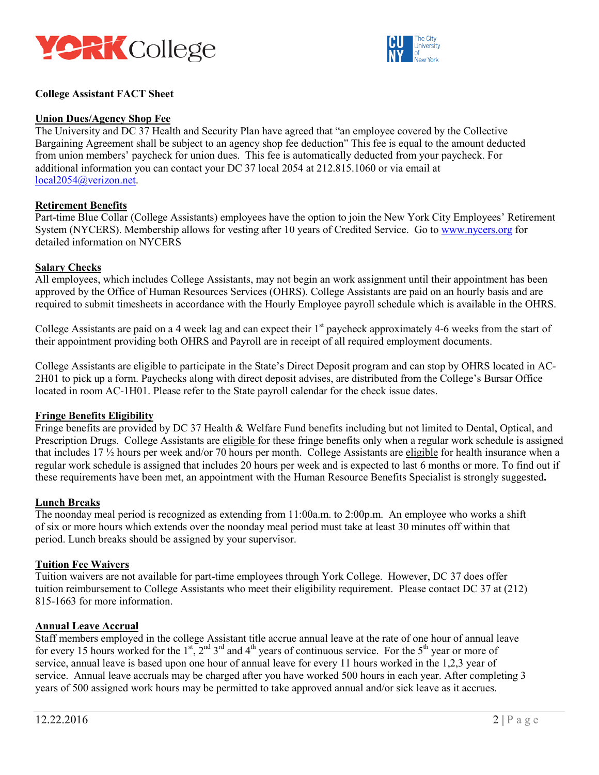



## **College Assistant FACT Sheet**

#### **Union Dues/Agency Shop Fee**

 from union members' paycheck for union dues. This fee is automatically deducted from your paycheck. For additional information you can contact your DC 37 local 2054 at 212.815.1060 or via email at The University and DC 37 Health and Security Plan have agreed that "an employee covered by the Collective Bargaining Agreement shall be subject to an agency shop fee deduction" This fee is equal to the amount deducted local2054@verizon.net.

#### **Retirement Benefits**

 Part-time Blue Collar (College Assistants) employees have the option to join the New York City Employees' Retirement System (NYCERS). Membership allows for vesting after 10 years of Credited Service. Go to www.nycers.org for detailed information on NYCERS

#### **Salary Checks**

 All employees, which includes College Assistants, may not begin an work assignment until their appointment has been approved by the Office of Human Resources Services (OHRS). College Assistants are paid on an hourly basis and are required to submit timesheets in accordance with the Hourly Employee payroll schedule which is available in the OHRS.

College Assistants are paid on a 4 week lag and can expect their  $1<sup>st</sup>$  paycheck approximately 4-6 weeks from the start of their appointment providing both OHRS and Payroll are in receipt of all required employment documents.

 College Assistants are eligible to participate in the State's Direct Deposit program and can stop by OHRS located in AC- 2H01 to pick up a form. Paychecks along with direct deposit advises, are distributed from the College's Bursar Office located in room AC-1H01. Please refer to the State payroll calendar for the check issue dates.

#### **Fringe Benefits Eligibility**

Prescription Drugs. College Assistants are *eligible* for these fringe benefits only when a regular work schedule is assigned that includes 17 ½ hours per week and/or 70 hours per month. College Assistants are eligible for health insurance when a regular work schedule is assigned that includes 20 hours per week and is expected to last 6 months or more. To find out if these requirements have been met, an appointment with the Human Resource Benefits Specialist is strongly suggested**. Lunch Breaks**  Fringe benefits are provided by DC 37 Health & Welfare Fund benefits including but not limited to Dental, Optical, and

 of six or more hours which extends over the noonday meal period must take at least 30 minutes off within that The noonday meal period is recognized as extending from 11:00a.m. to 2:00p.m. An employee who works a shift period. Lunch breaks should be assigned by your supervisor.

#### **Tuition Fee Waivers**

 Tuition waivers are not available for part-time employees through York College. However, DC 37 does offer tuition reimbursement to College Assistants who meet their eligibility requirement. Please contact DC 37 at (212) 815-1663 for more information.

#### **Annual Leave Accrual**

 Staff members employed in the college Assistant title accrue annual leave at the rate of one hour of annual leave for every 15 hours worked for the  $1^{st}$ ,  $2^{nd}$  3<sup>rd</sup> and 4<sup>th</sup> years of continuous service. For the 5<sup>th</sup> year or more of service, annual leave is based upon one hour of annual leave for every 11 hours worked in the 1,2,3 year of years of 500 assigned work hours may be permitted to take approved annual and/or sick leave as it accrues. service. Annual leave accruals may be charged after you have worked 500 hours in each year. After completing 3